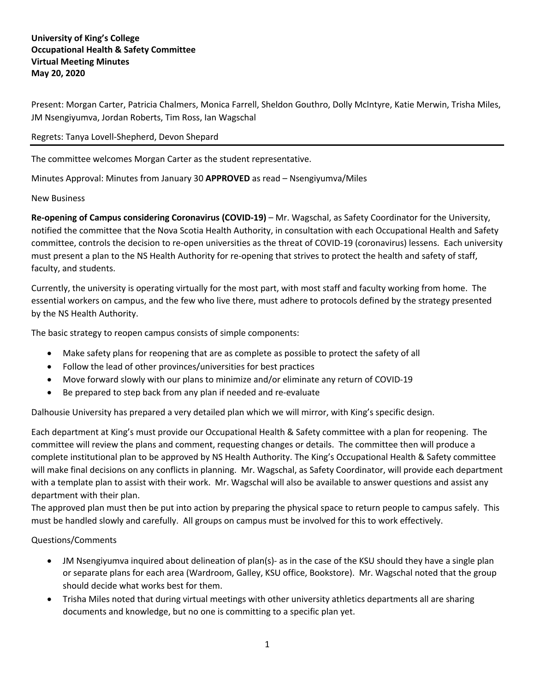## **University of King's College Occupational Health & Safety Committee Virtual Meeting Minutes May 20, 2020**

Present: Morgan Carter, Patricia Chalmers, Monica Farrell, Sheldon Gouthro, Dolly McIntyre, Katie Merwin, Trisha Miles, JM Nsengiyumva, Jordan Roberts, Tim Ross, Ian Wagschal

## Regrets: Tanya Lovell-Shepherd, Devon Shepard

The committee welcomes Morgan Carter as the student representative.

Minutes Approval: Minutes from January 30 **APPROVED** as read – Nsengiyumva/Miles

New Business

**Re-opening of Campus considering Coronavirus (COVID-19)** – Mr. Wagschal, as Safety Coordinator for the University, notified the committee that the Nova Scotia Health Authority, in consultation with each Occupational Health and Safety committee, controls the decision to re-open universities as the threat of COVID-19 (coronavirus) lessens. Each university must present a plan to the NS Health Authority for re-opening that strives to protect the health and safety of staff, faculty, and students.

Currently, the university is operating virtually for the most part, with most staff and faculty working from home. The essential workers on campus, and the few who live there, must adhere to protocols defined by the strategy presented by the NS Health Authority.

The basic strategy to reopen campus consists of simple components:

- Make safety plans for reopening that are as complete as possible to protect the safety of all
- Follow the lead of other provinces/universities for best practices
- Move forward slowly with our plans to minimize and/or eliminate any return of COVID-19
- Be prepared to step back from any plan if needed and re-evaluate

Dalhousie University has prepared a very detailed plan which we will mirror, with King's specific design.

Each department at King's must provide our Occupational Health & Safety committee with a plan for reopening. The committee will review the plans and comment, requesting changes or details. The committee then will produce a complete institutional plan to be approved by NS Health Authority. The King's Occupational Health & Safety committee will make final decisions on any conflicts in planning. Mr. Wagschal, as Safety Coordinator, will provide each department with a template plan to assist with their work. Mr. Wagschal will also be available to answer questions and assist any department with their plan.

The approved plan must then be put into action by preparing the physical space to return people to campus safely. This must be handled slowly and carefully. All groups on campus must be involved for this to work effectively.

Questions/Comments

- JM Nsengiyumva inquired about delineation of plan(s)- as in the case of the KSU should they have a single plan or separate plans for each area (Wardroom, Galley, KSU office, Bookstore). Mr. Wagschal noted that the group should decide what works best for them.
- Trisha Miles noted that during virtual meetings with other university athletics departments all are sharing documents and knowledge, but no one is committing to a specific plan yet.